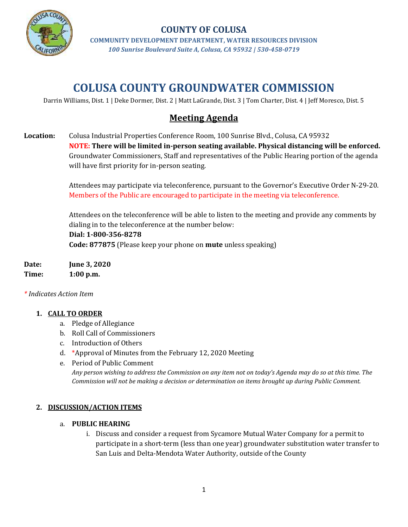

## **COUNTY OF COLUSA**

**COMMUNITY DEVELOPMENT DEPARTMENT, WATER RESOURCES DIVISION** *100 Sunrise Boulevard Suite A, Colusa, CA 95932 | 530-458-0719*

# **COLUSA COUNTY GROUNDWATER COMMISSION**

Darrin Williams, Dist. 1 | Deke Dormer, Dist. 2 | Matt LaGrande, Dist. 3 | Tom Charter, Dist. 4 | Jeff Moresco, Dist. 5

## **Meeting Agenda**

**Location:** Colusa Industrial Properties Conference Room, 100 Sunrise Blvd., Colusa, CA 95932 **NOTE: There will be limited in-person seating available. Physical distancing will be enforced.** Groundwater Commissioners, Staff and representatives of the Public Hearing portion of the agenda will have first priority for in-person seating.

> Attendees may participate via teleconference, pursuant to the Governor's Executive Order N-29-20. Members of the Public are encouraged to participate in the meeting via teleconference.

> Attendees on the teleconference will be able to listen to the meeting and provide any comments by dialing in to the teleconference at the number below:

#### **Dial: 1-800-356-8278**

**Code: 877875** (Please keep your phone on **mute** unless speaking)

**Date: June 3, 2020 Time: 1:00 p.m.**

*\* Indicates Action Item*

#### **1. CALL TO ORDER**

- a. Pledge of Allegiance
- b. Roll Call of Commissioners
- c. Introduction of Others
- d. \*Approval of Minutes from the February 12, 2020 Meeting
- e. Period of Public Comment

*Any person wishing to address the Commission on any item not on today's Agenda may do so at this time. The Commission will not be making a decision or determination on items brought up during Public Comment.*

#### **2. DISCUSSION/ACTION ITEMS**

#### a. **PUBLIC HEARING**

i. Discuss and consider a request from Sycamore Mutual Water Company for a permit to participate in a short-term (less than one year) groundwater substitution water transfer to San Luis and Delta-Mendota Water Authority, outside of the County